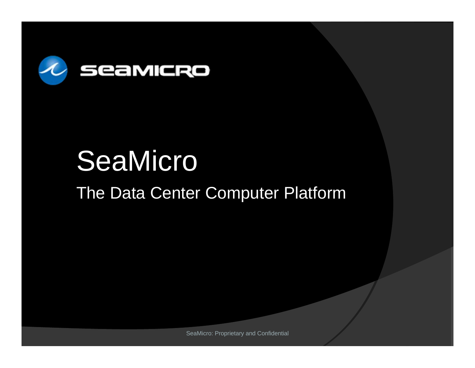

# **SeaMicro**

### The Data Center Computer Platform

SeaMicro: Proprietary and Confidential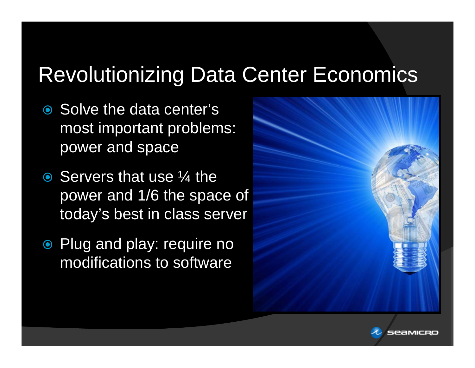### Revolutionizing Data Center Economics

- Solve the data center's most important problems: power and space
- **Servers that use ¼ the** power and 1/6 the space of today's best in class server
- Plug and play: require no modifications to software



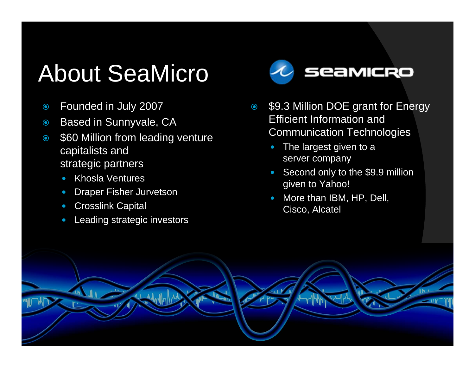## About SeaMicro

- $\odot$ Founded in July 2007
- $\odot$ Based in Sunnyvale, CA
- $\odot$  \$60 Million from leading venture capitalists and strategic partners
	- $\bullet$ Khosla Ventures
	- $\bullet$ Draper Fisher Jurvetson
	- **Crosslink Capital**
	- $\bullet$ Leading strategic investors



- $\odot$  \$9.3 Million DOE grant for Energy Efficient Information and Communication Technologies
	- $\bullet$  The largest given to a server company
	- $\bullet$  Second only to the \$9.9 million given to Yahoo!
	- $\bullet$  More than IBM, HP, Dell, Cisco, Alcatel

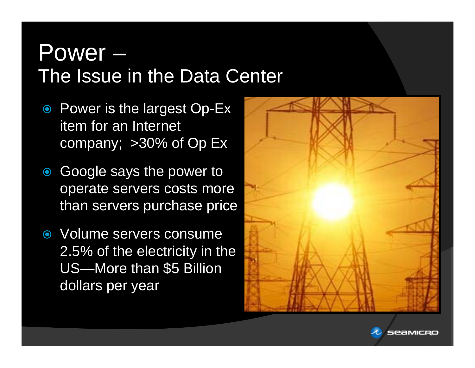### Power – The Issue in the Data Center

- Power is the largest Op-Ex item for an Internet company; >30% of Op Ex
- $\bigcirc$  Google says the power to operate servers costs more than servers purchase price
- Volume servers consume 2.5% of the electricity in the US—More than \$5 Billion dollars per year



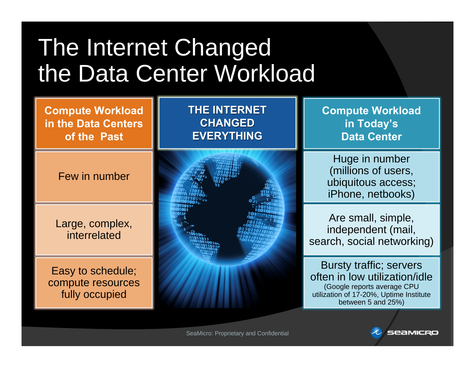### The Internet Changed the Data Center Workload

**Compute Workload in the Data Centers of the Past**

Few in number

Large, complex, interrelated

Easy to schedule; compute resources fully occupied

**THE INTERNET CHANGED CHANGED EVERYTHING EVERYTHING**



**Compute Workload in Today's Data Center**

Huge in number (millions of users, ubiquitous access; iPhone, netbooks)

Are small, simple, independent (mail, search, social networking)

Bursty traffic; servers often in low utilization/idle (Google reports average CPU utilization of 17-20%, Uptime Institute between 5 and 25%)

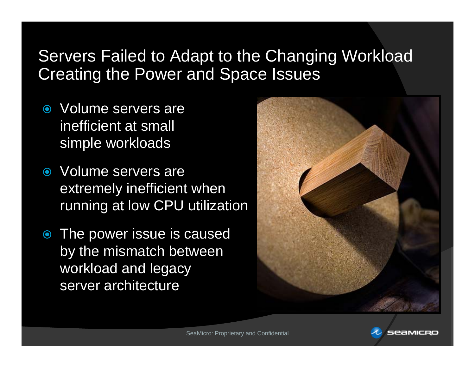### Servers Failed to Adapt to the Changing Workload Creating the Power and Space Issues

- Volume servers are inefficient at small simple workloads
- Volume servers are extremely inefficient when running at low CPU utilization
- The power issue is caused by the mismatch between workload and legacy server architecture



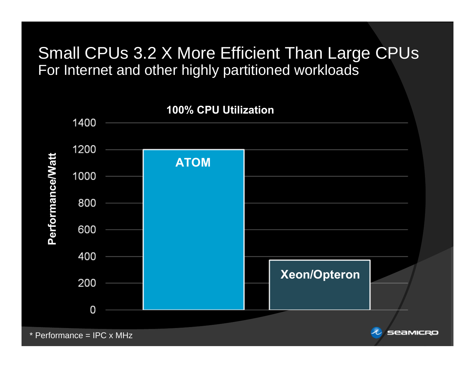### Small CPUs 3.2 X More Efficient Than Large CPUs For Internet and other highly partitioned workloads



\* Performance = IPC x MHz

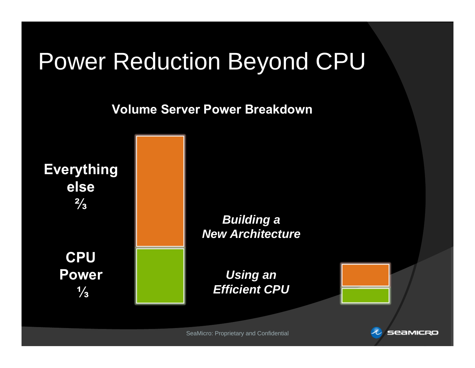### Power Reduction Beyond CPU

**Volume Server Power Breakdown** 





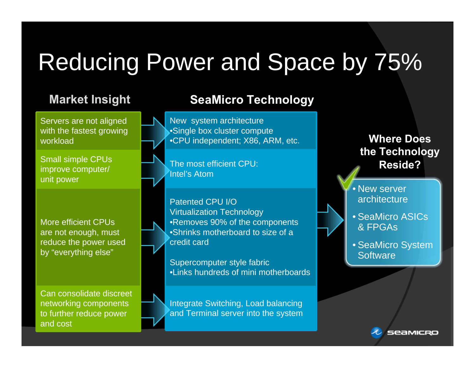# Reducing Power and Space by 75%

Servers are not aligned with the fastest growing workload

Small simple CPUs improve computer/ unit power

More efficient CPUs are not enough, must reduce the power used by "everything else"

Can consolidate discreet networking components to further reduce power and cost

### **Market Insight SeaMicro Technology**

New system architecture •Single box cluster compute •CPU independent; X86, ARM, etc.

The most efficient CPU: Intel's Atom

Patented CPU I/O Virtualization Technology •Removes 90% of the components •Shrinks motherboard to size of a credit card

Supercomputer style fabric •Links hundreds of mini motherboards

Integrate Switching, Load balancing and Terminal server into the system

### **Where Does the Technology Reside?**

• New server architecture

• SeaMicro ASICs & FPGAs

• SeaMicro System **Software** 

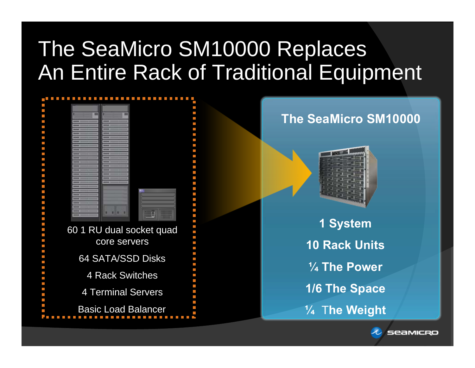### The SeaMicro SM10000 Replaces An Entire Rack of Traditional Equipment

|                            | ш |
|----------------------------|---|
|                            |   |
|                            |   |
|                            |   |
|                            |   |
|                            |   |
|                            |   |
|                            |   |
|                            |   |
|                            |   |
|                            |   |
|                            |   |
|                            |   |
|                            |   |
|                            |   |
|                            |   |
|                            |   |
|                            |   |
|                            |   |
|                            |   |
|                            |   |
|                            |   |
|                            |   |
|                            | Ū |
|                            |   |
|                            |   |
|                            |   |
| 60 1 RU dual socket quad   |   |
|                            |   |
| core servers               |   |
|                            |   |
|                            |   |
| 64 SATA/SSD Disks          |   |
|                            |   |
|                            |   |
| <b>4 Rack Switches</b>     |   |
|                            |   |
|                            |   |
|                            |   |
| <b>4 Terminal Servers</b>  |   |
|                            |   |
|                            |   |
| <b>Basic Load Balancer</b> |   |
|                            |   |



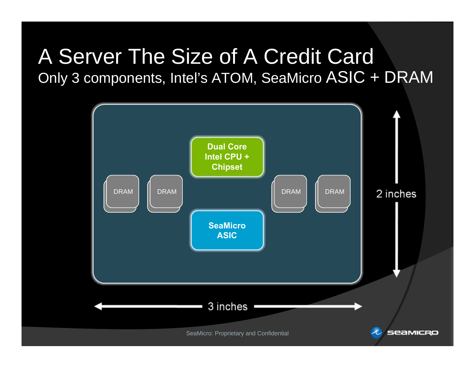### A Server The Size of A Credit Card Only 3 components, Intel's ATOM, SeaMicro ASIC + DRAM

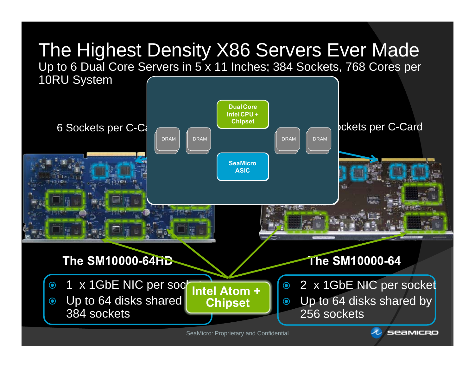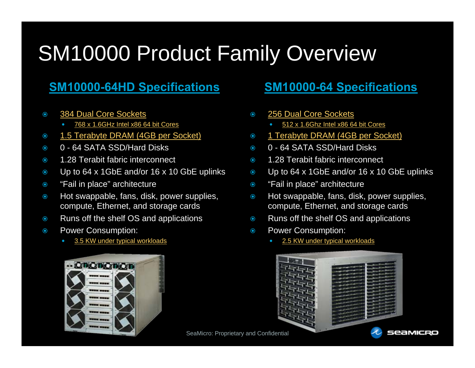### SM10000 Product Family Overview

### **SM10000-64HD Specifications SM10000-64 Specifications**

- $\odot$  384 Dual Core Sockets
	- 0 768 x 1.6GHz Intel x86 64 bit Cores
- $\odot$ 1.5 Terabyte DRAM (4GB per Socket)
- $\odot$ 0 - 64 SATA SSD/Hard Disks
- $\odot$ 1.28 Terabit fabric interconnect
- $\odot$ Up to 64 x 1GbE and/or 16 x 10 GbE uplinks
- $\odot$ "Fail in place" architecture
- $\odot$  Hot swappable, fans, disk, power supplies, compute, Ethernet, and storage cards
- $\odot$ Runs off the shelf OS and applications
- $\odot$  Power Consumption:
	- 0 3.5 KW under typical workloads



- $\odot$  256 Dual Core Sockets
	- 0 512 x 1.6Ghz Intel x86 64 bit Cores
- $\odot$ 1 Terabyte DRAM (4GB per Socket)
- $\odot$ 0 - 64 SATA SSD/Hard Disks
- $\odot$ 1.28 Terabit fabric interconnect
- $\odot$ Up to 64 x 1GbE and/or 16 x 10 GbE uplinks
- $\bullet$ "Fail in place" architecture
- $\odot$  Hot swappable, fans, disk, power supplies, compute, Ethernet, and storage cards
- $\bullet$ Runs off the shelf OS and applications
- $\bullet$  Power Consumption:
	- 0 2.5 KW under typical workloads



SeaMicro: Proprietary and Confidential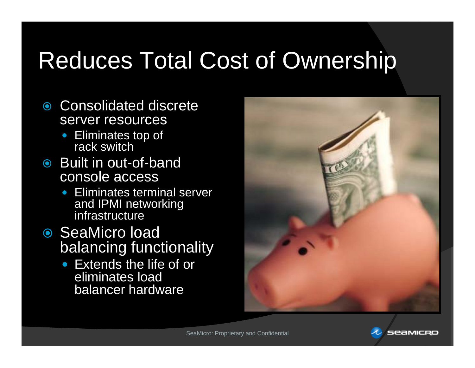## Reduces Total Cost of Ownership

- Consolidated discrete server resources
	- Eliminates top of rack switch
- Built in out-of-band console access
	- Eliminates terminal server and IPMI networking infrastructure
- SeaMicro load balancing functionality
	- Extends the life of or eliminates load balancer hardware



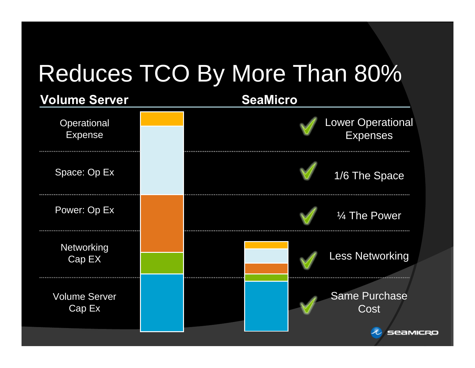# Reduces TCO By More Than 80%

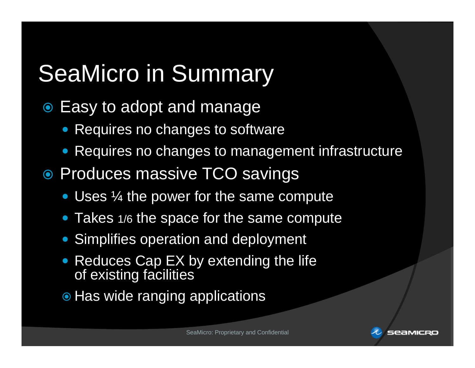## SeaMicro in Summary

- Easy to adopt and manage
	- Requires no changes to software
	- Requires no changes to management infrastructure
- Produces massive TCO savings
	- Uses  $\frac{1}{4}$  the power for the same compute
	- Takes 1/6 the space for the same compute
	- Simplifies operation and deployment
	- Reduces Cap EX by extending the life of existing facilities
	- $\bullet$  Has wide ranging applications